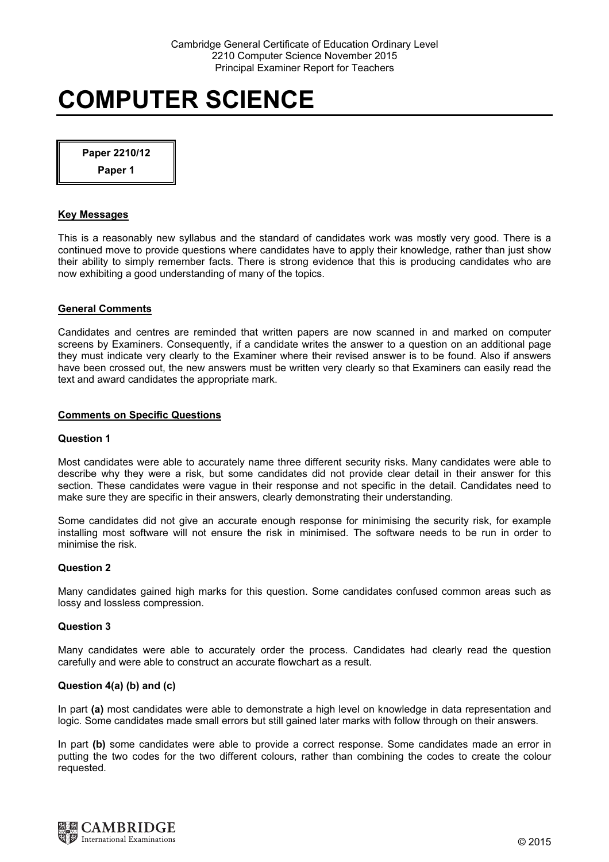Paper 2210/12

Paper 1

#### Key Messages

This is a reasonably new syllabus and the standard of candidates work was mostly very good. There is a continued move to provide questions where candidates have to apply their knowledge, rather than just show their ability to simply remember facts. There is strong evidence that this is producing candidates who are now exhibiting a good understanding of many of the topics.

## General Comments

Candidates and centres are reminded that written papers are now scanned in and marked on computer screens by Examiners. Consequently, if a candidate writes the answer to a question on an additional page they must indicate very clearly to the Examiner where their revised answer is to be found. Also if answers have been crossed out, the new answers must be written very clearly so that Examiners can easily read the text and award candidates the appropriate mark.

## Comments on Specific Questions

#### Question 1

Most candidates were able to accurately name three different security risks. Many candidates were able to describe why they were a risk, but some candidates did not provide clear detail in their answer for this section. These candidates were vague in their response and not specific in the detail. Candidates need to make sure they are specific in their answers, clearly demonstrating their understanding.

Some candidates did not give an accurate enough response for minimising the security risk, for example installing most software will not ensure the risk in minimised. The software needs to be run in order to minimise the risk.

#### Question 2

Many candidates gained high marks for this question. Some candidates confused common areas such as lossy and lossless compression.

#### Question 3

Many candidates were able to accurately order the process. Candidates had clearly read the question carefully and were able to construct an accurate flowchart as a result.

#### Question 4(a) (b) and (c)

In part (a) most candidates were able to demonstrate a high level on knowledge in data representation and logic. Some candidates made small errors but still gained later marks with follow through on their answers.

In part (b) some candidates were able to provide a correct response. Some candidates made an error in putting the two codes for the two different colours, rather than combining the codes to create the colour requested.

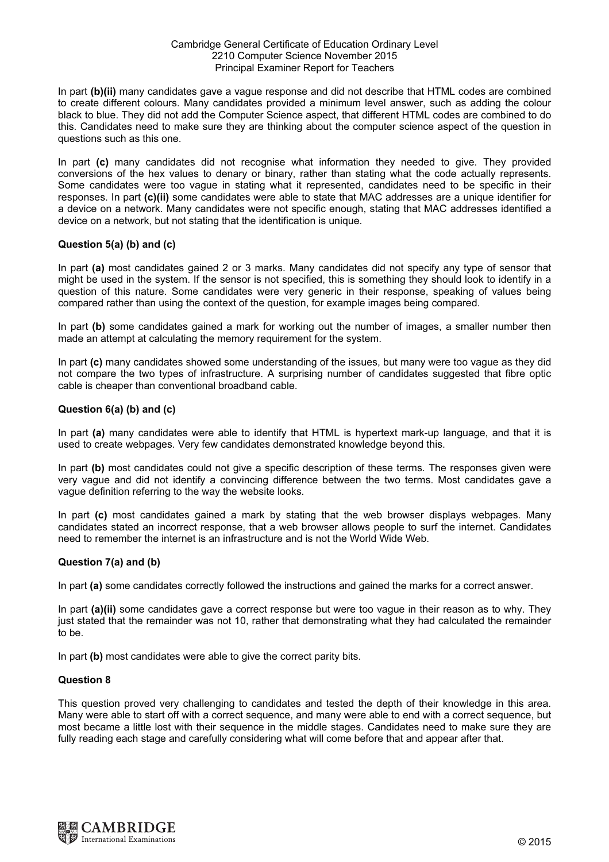#### Cambridge General Certificate of Education Ordinary Level 2210 Computer Science November 2015 Principal Examiner Report for Teachers

In part (b)(ii) many candidates gave a vague response and did not describe that HTML codes are combined to create different colours. Many candidates provided a minimum level answer, such as adding the colour black to blue. They did not add the Computer Science aspect, that different HTML codes are combined to do this. Candidates need to make sure they are thinking about the computer science aspect of the question in questions such as this one.

In part (c) many candidates did not recognise what information they needed to give. They provided conversions of the hex values to denary or binary, rather than stating what the code actually represents. Some candidates were too vague in stating what it represented, candidates need to be specific in their responses. In part (c)(ii) some candidates were able to state that MAC addresses are a unique identifier for a device on a network. Many candidates were not specific enough, stating that MAC addresses identified a device on a network, but not stating that the identification is unique.

# Question 5(a) (b) and (c)

In part (a) most candidates gained 2 or 3 marks. Many candidates did not specify any type of sensor that might be used in the system. If the sensor is not specified, this is something they should look to identify in a question of this nature. Some candidates were very generic in their response, speaking of values being compared rather than using the context of the question, for example images being compared.

In part (b) some candidates gained a mark for working out the number of images, a smaller number then made an attempt at calculating the memory requirement for the system.

In part (c) many candidates showed some understanding of the issues, but many were too vague as they did not compare the two types of infrastructure. A surprising number of candidates suggested that fibre optic cable is cheaper than conventional broadband cable.

## Question 6(a) (b) and (c)

In part (a) many candidates were able to identify that HTML is hypertext mark-up language, and that it is used to create webpages. Very few candidates demonstrated knowledge beyond this.

In part (b) most candidates could not give a specific description of these terms. The responses given were very vague and did not identify a convincing difference between the two terms. Most candidates gave a vague definition referring to the way the website looks.

In part (c) most candidates gained a mark by stating that the web browser displays webpages. Many candidates stated an incorrect response, that a web browser allows people to surf the internet. Candidates need to remember the internet is an infrastructure and is not the World Wide Web.

#### Question 7(a) and (b)

In part (a) some candidates correctly followed the instructions and gained the marks for a correct answer.

In part (a)(ii) some candidates gave a correct response but were too vague in their reason as to why. They just stated that the remainder was not 10, rather that demonstrating what they had calculated the remainder to be.

In part (b) most candidates were able to give the correct parity bits.

### Question 8

This question proved very challenging to candidates and tested the depth of their knowledge in this area. Many were able to start off with a correct sequence, and many were able to end with a correct sequence, but most became a little lost with their sequence in the middle stages. Candidates need to make sure they are fully reading each stage and carefully considering what will come before that and appear after that.

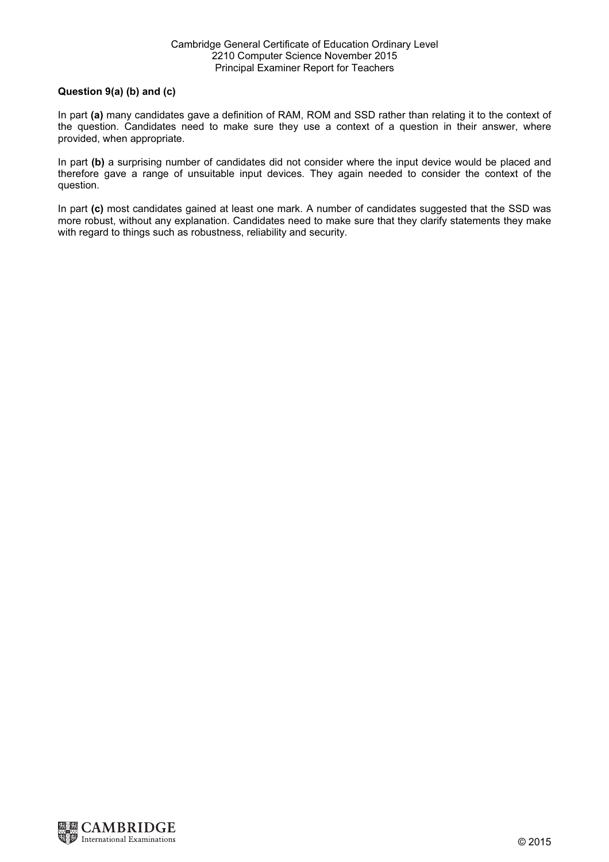# Question 9(a) (b) and (c)

In part (a) many candidates gave a definition of RAM, ROM and SSD rather than relating it to the context of the question. Candidates need to make sure they use a context of a question in their answer, where provided, when appropriate.

In part (b) a surprising number of candidates did not consider where the input device would be placed and therefore gave a range of unsuitable input devices. They again needed to consider the context of the question.

In part (c) most candidates gained at least one mark. A number of candidates suggested that the SSD was more robust, without any explanation. Candidates need to make sure that they clarify statements they make with regard to things such as robustness, reliability and security.

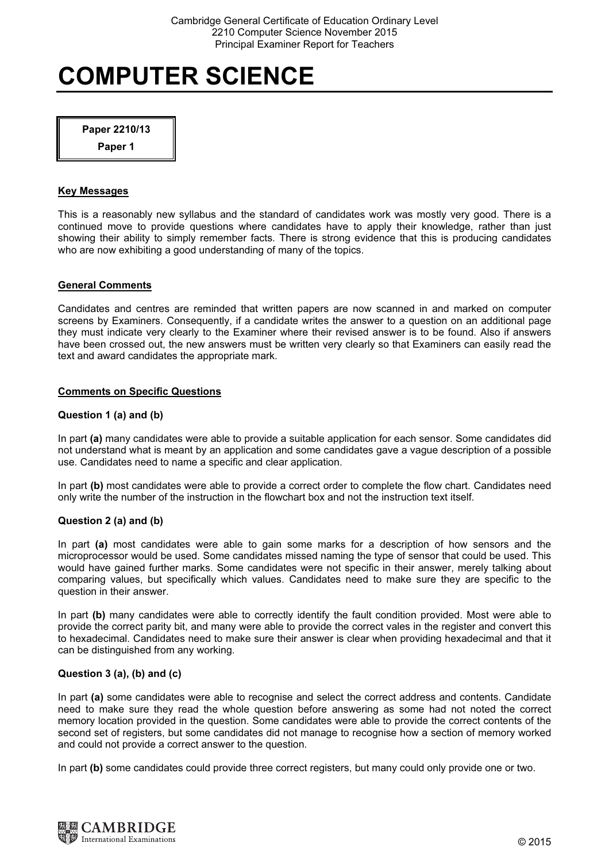Paper 2210/13

Paper 1

# Key Messages

This is a reasonably new syllabus and the standard of candidates work was mostly very good. There is a continued move to provide questions where candidates have to apply their knowledge, rather than just showing their ability to simply remember facts. There is strong evidence that this is producing candidates who are now exhibiting a good understanding of many of the topics.

# General Comments

Candidates and centres are reminded that written papers are now scanned in and marked on computer screens by Examiners. Consequently, if a candidate writes the answer to a question on an additional page they must indicate very clearly to the Examiner where their revised answer is to be found. Also if answers have been crossed out, the new answers must be written very clearly so that Examiners can easily read the text and award candidates the appropriate mark.

# Comments on Specific Questions

# Question 1 (a) and (b)

In part (a) many candidates were able to provide a suitable application for each sensor. Some candidates did not understand what is meant by an application and some candidates gave a vague description of a possible use. Candidates need to name a specific and clear application.

In part (b) most candidates were able to provide a correct order to complete the flow chart. Candidates need only write the number of the instruction in the flowchart box and not the instruction text itself.

# Question 2 (a) and (b)

In part (a) most candidates were able to gain some marks for a description of how sensors and the microprocessor would be used. Some candidates missed naming the type of sensor that could be used. This would have gained further marks. Some candidates were not specific in their answer, merely talking about comparing values, but specifically which values. Candidates need to make sure they are specific to the question in their answer.

In part (b) many candidates were able to correctly identify the fault condition provided. Most were able to provide the correct parity bit, and many were able to provide the correct vales in the register and convert this to hexadecimal. Candidates need to make sure their answer is clear when providing hexadecimal and that it can be distinguished from any working.

# Question 3 (a), (b) and (c)

In part (a) some candidates were able to recognise and select the correct address and contents. Candidate need to make sure they read the whole question before answering as some had not noted the correct memory location provided in the question. Some candidates were able to provide the correct contents of the second set of registers, but some candidates did not manage to recognise how a section of memory worked and could not provide a correct answer to the question.

In part (b) some candidates could provide three correct registers, but many could only provide one or two.

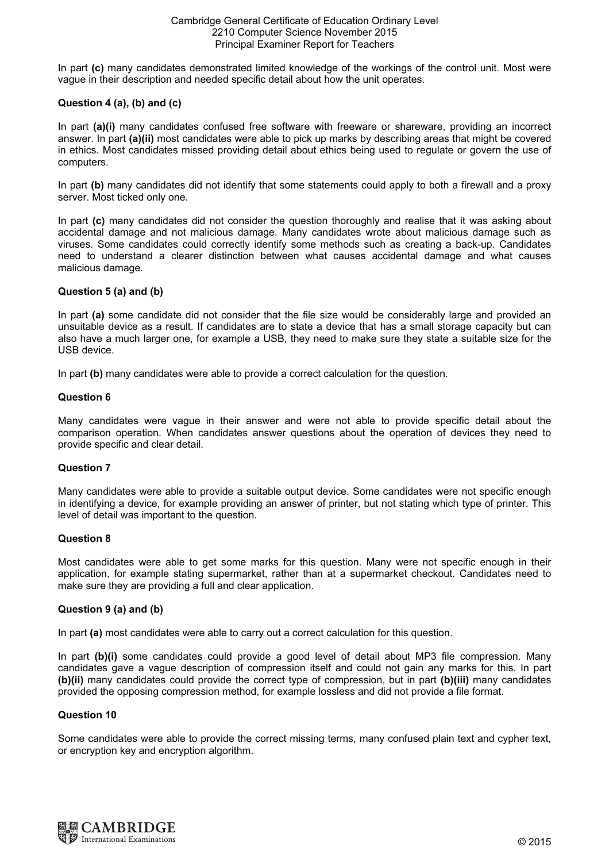#### Cambridge General Certificate of Education Ordinary Level 2210 Computer Science November 2015 Principal Examiner Report for Teachers

In part (c) many candidates demonstrated limited knowledge of the workings of the control unit. Most were vague in their description and needed specific detail about how the unit operates.

# Question 4 (a), (b) and (c)

In part (a)(i) many candidates confused free software with freeware or shareware, providing an incorrect answer. In part (a)(ii) most candidates were able to pick up marks by describing areas that might be covered in ethics. Most candidates missed providing detail about ethics being used to regulate or govern the use of computers.

In part (b) many candidates did not identify that some statements could apply to both a firewall and a proxy server. Most ticked only one.

In part (c) many candidates did not consider the question thoroughly and realise that it was asking about accidental damage and not malicious damage. Many candidates wrote about malicious damage such as viruses. Some candidates could correctly identify some methods such as creating a back-up. Candidates need to understand a clearer distinction between what causes accidental damage and what causes malicious damage.

## Question 5 (a) and (b)

In part (a) some candidate did not consider that the file size would be considerably large and provided an unsuitable device as a result. If candidates are to state a device that has a small storage capacity but can also have a much larger one, for example a USB, they need to make sure they state a suitable size for the USB device.

In part (b) many candidates were able to provide a correct calculation for the question.

## Question 6

Many candidates were vague in their answer and were not able to provide specific detail about the comparison operation. When candidates answer questions about the operation of devices they need to provide specific and clear detail.

#### Question 7

Many candidates were able to provide a suitable output device. Some candidates were not specific enough in identifying a device, for example providing an answer of printer, but not stating which type of printer. This level of detail was important to the question.

#### Question 8

Most candidates were able to get some marks for this question. Many were not specific enough in their application, for example stating supermarket, rather than at a supermarket checkout. Candidates need to make sure they are providing a full and clear application.

#### Question 9 (a) and (b)

In part (a) most candidates were able to carry out a correct calculation for this question.

In part (b)(i) some candidates could provide a good level of detail about MP3 file compression. Many candidates gave a vague description of compression itself and could not gain any marks for this. In part (b)(ii) many candidates could provide the correct type of compression, but in part (b)(iii) many candidates provided the opposing compression method, for example lossless and did not provide a file format.

#### Question 10

Some candidates were able to provide the correct missing terms, many confused plain text and cypher text, or encryption key and encryption algorithm.

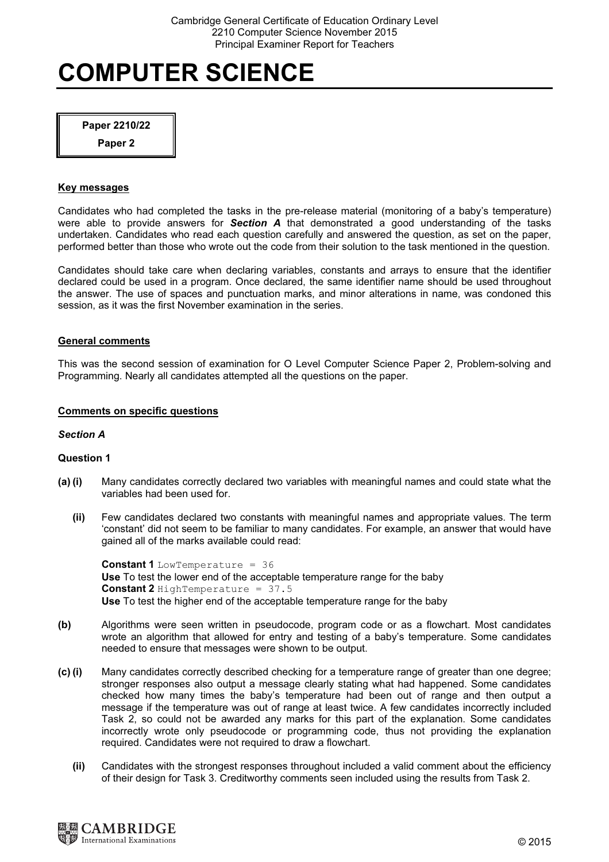Paper 2210/22

Paper 2

#### Key messages

Candidates who had completed the tasks in the pre-release material (monitoring of a baby's temperature) were able to provide answers for **Section A** that demonstrated a good understanding of the tasks undertaken. Candidates who read each question carefully and answered the question, as set on the paper, performed better than those who wrote out the code from their solution to the task mentioned in the question.

Candidates should take care when declaring variables, constants and arrays to ensure that the identifier declared could be used in a program. Once declared, the same identifier name should be used throughout the answer. The use of spaces and punctuation marks, and minor alterations in name, was condoned this session, as it was the first November examination in the series.

## General comments

This was the second session of examination for O Level Computer Science Paper 2, Problem-solving and Programming. Nearly all candidates attempted all the questions on the paper.

## Comments on specific questions

#### Section A

#### Question 1

- (a) (i) Many candidates correctly declared two variables with meaningful names and could state what the variables had been used for.
	- (ii) Few candidates declared two constants with meaningful names and appropriate values. The term 'constant' did not seem to be familiar to many candidates. For example, an answer that would have gained all of the marks available could read:

Constant 1 LowTemperature = 36 Use To test the lower end of the acceptable temperature range for the baby Constant 2 HighTemperature = 37.5 Use To test the higher end of the acceptable temperature range for the baby

- (b) Algorithms were seen written in pseudocode, program code or as a flowchart. Most candidates wrote an algorithm that allowed for entry and testing of a baby's temperature. Some candidates needed to ensure that messages were shown to be output.
- (c) (i) Many candidates correctly described checking for a temperature range of greater than one degree; stronger responses also output a message clearly stating what had happened. Some candidates checked how many times the baby's temperature had been out of range and then output a message if the temperature was out of range at least twice. A few candidates incorrectly included Task 2, so could not be awarded any marks for this part of the explanation. Some candidates incorrectly wrote only pseudocode or programming code, thus not providing the explanation required. Candidates were not required to draw a flowchart.
	- (ii) Candidates with the strongest responses throughout included a valid comment about the efficiency of their design for Task 3. Creditworthy comments seen included using the results from Task 2.

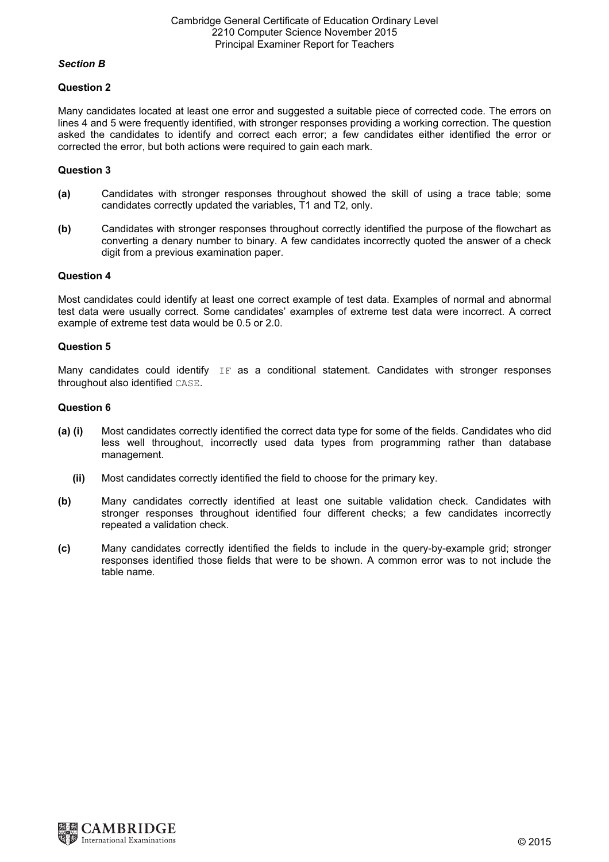## Section B

## Question 2

Many candidates located at least one error and suggested a suitable piece of corrected code. The errors on lines 4 and 5 were frequently identified, with stronger responses providing a working correction. The question asked the candidates to identify and correct each error; a few candidates either identified the error or corrected the error, but both actions were required to gain each mark.

# Question 3

- (a) Candidates with stronger responses throughout showed the skill of using a trace table; some candidates correctly updated the variables, T1 and T2, only.
- (b) Candidates with stronger responses throughout correctly identified the purpose of the flowchart as converting a denary number to binary. A few candidates incorrectly quoted the answer of a check digit from a previous examination paper.

## Question 4

Most candidates could identify at least one correct example of test data. Examples of normal and abnormal test data were usually correct. Some candidates' examples of extreme test data were incorrect. A correct example of extreme test data would be 0.5 or 2.0.

#### Question 5

Many candidates could identify  $IF$  as a conditional statement. Candidates with stronger responses throughout also identified CASE.

## Question 6

- (a) (i) Most candidates correctly identified the correct data type for some of the fields. Candidates who did less well throughout, incorrectly used data types from programming rather than database management.
	- (ii) Most candidates correctly identified the field to choose for the primary key.
- (b) Many candidates correctly identified at least one suitable validation check. Candidates with stronger responses throughout identified four different checks; a few candidates incorrectly repeated a validation check.
- (c) Many candidates correctly identified the fields to include in the query-by-example grid; stronger responses identified those fields that were to be shown. A common error was to not include the table name.

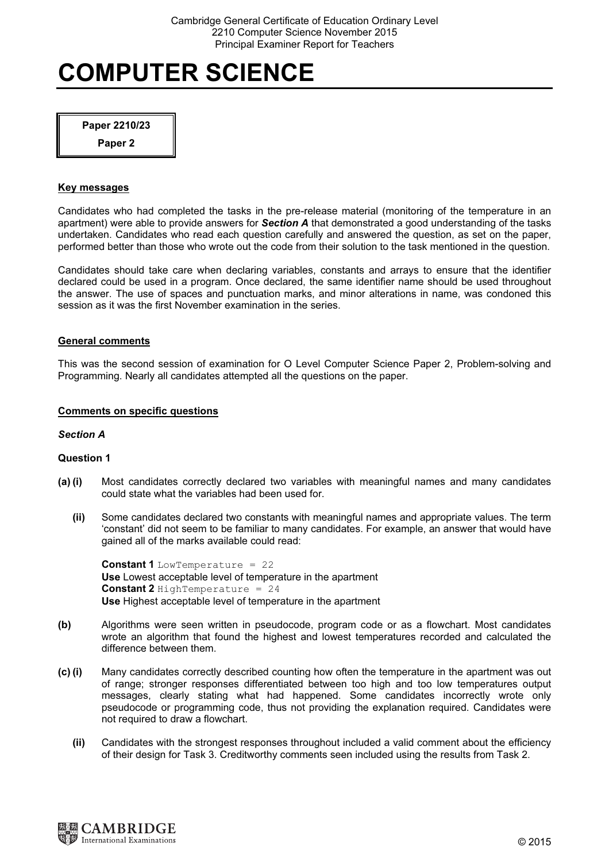Paper 2210/23

Paper 2

### Key messages

Candidates who had completed the tasks in the pre-release material (monitoring of the temperature in an apartment) were able to provide answers for **Section A** that demonstrated a good understanding of the tasks undertaken. Candidates who read each question carefully and answered the question, as set on the paper, performed better than those who wrote out the code from their solution to the task mentioned in the question.

Candidates should take care when declaring variables, constants and arrays to ensure that the identifier declared could be used in a program. Once declared, the same identifier name should be used throughout the answer. The use of spaces and punctuation marks, and minor alterations in name, was condoned this session as it was the first November examination in the series.

## General comments

This was the second session of examination for O Level Computer Science Paper 2, Problem-solving and Programming. Nearly all candidates attempted all the questions on the paper.

## Comments on specific questions

#### Section A

#### Question 1

- (a) (i) Most candidates correctly declared two variables with meaningful names and many candidates could state what the variables had been used for.
	- (ii) Some candidates declared two constants with meaningful names and appropriate values. The term 'constant' did not seem to be familiar to many candidates. For example, an answer that would have gained all of the marks available could read:

Constant 1 LowTemperature = 22 Use Lowest acceptable level of temperature in the apartment Constant 2 HighTemperature = 24 Use Highest acceptable level of temperature in the apartment

- (b) Algorithms were seen written in pseudocode, program code or as a flowchart. Most candidates wrote an algorithm that found the highest and lowest temperatures recorded and calculated the difference between them.
- (c) (i) Many candidates correctly described counting how often the temperature in the apartment was out of range; stronger responses differentiated between too high and too low temperatures output messages, clearly stating what had happened. Some candidates incorrectly wrote only pseudocode or programming code, thus not providing the explanation required. Candidates were not required to draw a flowchart.
	- (ii) Candidates with the strongest responses throughout included a valid comment about the efficiency of their design for Task 3. Creditworthy comments seen included using the results from Task 2.